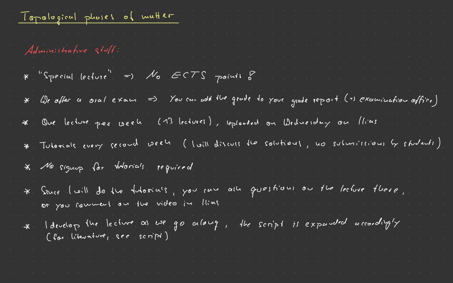| . The simulation of the simulation of the simulation of the simulation $\mathcal{S}$<br>Topological phoses of matter<br>. The contribution of the contribution of the contribution of the contribution $\mathcal{E}$                   |
|----------------------------------------------------------------------------------------------------------------------------------------------------------------------------------------------------------------------------------------|
| $\mathcal{L}_{\mathcal{A}}$ , where $\mathcal{L}_{\mathcal{A}}$ is the contribution of the contribution of the contribution of<br>$\mathcal{O}(10^{-10})$ . The second constraints of $\mathcal{O}(10^{-10})$<br>Administrative stoff: |
| $*$ "Special lecture" =) $\mathcal{N}_{0}$ ECTS points of<br>$\mathcal{L}_{\mathcal{A}}$ , and the set of the set of $\mathcal{A}$                                                                                                     |
| * We obter a oral exam => You can wohl the grade to your grade report (=) examination office)                                                                                                                                          |
| * One lecture per week (13 lectures), uploaded on Wednesday on llias                                                                                                                                                                   |
| * Tutomale every second week (loill discute the solutions, no submissions by students)                                                                                                                                                 |
| * No signing for thorials required                                                                                                                                                                                                     |
| * Sance l'uille de la fateriale, you can alle questions ou the lecture flore,                                                                                                                                                          |
| * Idevelop the lecture as we go along, the script is expanded accordingly                                                                                                                                                              |
|                                                                                                                                                                                                                                        |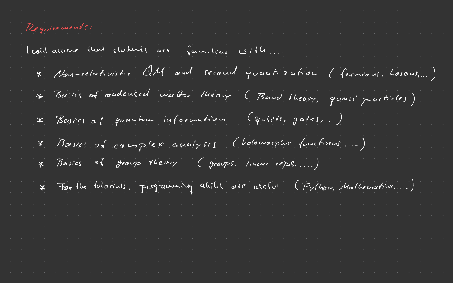| Requirements:                                                                    |
|----------------------------------------------------------------------------------|
| l'aillement d'une students are familiens corter                                  |
| * Nou-relativistic OM and second quantisation (fermions, hasons,)                |
| * Basics of oudensed matter theory (Band theory, quani particles)                |
| * Basics of guartime information (gulits, gates,)                                |
| * Basics of complex avalyses (holomosphic functions)                             |
| * Basics of group theory (groups, linear reps)                                   |
| $*$ For the futorials, programming shills are useful ( $P_7$ /hou, Mathematica,) |
|                                                                                  |
|                                                                                  |
|                                                                                  |